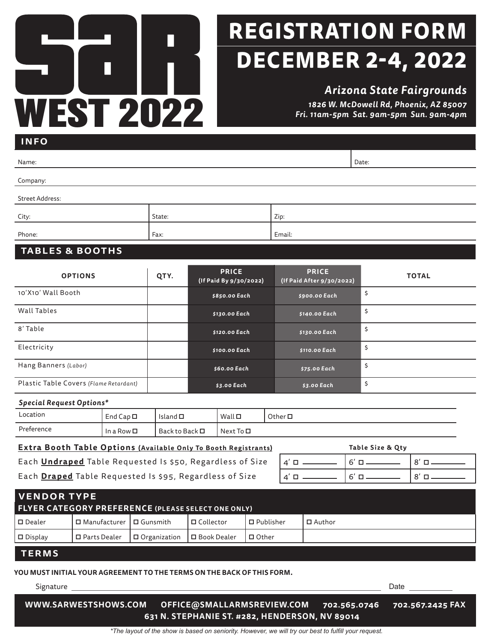# L WEST 2022

# **DECEMBER 2-4, 2022 REGISTRATION FORM**

*Arizona State Fairgrounds 1826 W. McDowell Rd, Phoenix, AZ 85007 Fri. 11am-5pm Sat. 9am-5pm Sun. 9am-4pm*

| <b>INFO</b>                                                                                      |                   |                 |                    |                                 |                                        |             |                     |               |                                           |                  |              |             |  |
|--------------------------------------------------------------------------------------------------|-------------------|-----------------|--------------------|---------------------------------|----------------------------------------|-------------|---------------------|---------------|-------------------------------------------|------------------|--------------|-------------|--|
| Name:                                                                                            |                   |                 |                    |                                 |                                        |             |                     |               |                                           | Date:            |              |             |  |
| Company:                                                                                         |                   |                 |                    |                                 |                                        |             |                     |               |                                           |                  |              |             |  |
| <b>Street Address:</b>                                                                           |                   |                 |                    |                                 |                                        |             |                     |               |                                           |                  |              |             |  |
| City:                                                                                            |                   |                 |                    | State:                          |                                        |             |                     | Zip:          |                                           |                  |              |             |  |
| Phone:                                                                                           |                   |                 |                    | Fax:                            |                                        |             |                     | Email:        |                                           |                  |              |             |  |
| <b>TABLES &amp; BOOTHS</b>                                                                       |                   |                 |                    |                                 |                                        |             |                     |               |                                           |                  |              |             |  |
| <b>OPTIONS</b>                                                                                   |                   |                 |                    | QTY.                            | <b>PRICE</b><br>(If Paid By 9/30/2022) |             |                     |               | <b>PRICE</b><br>(If Paid After 9/30/2022) |                  | <b>TOTAL</b> |             |  |
| 10'X10' Wall Booth                                                                               |                   |                 |                    |                                 | \$850.00 Each                          |             |                     | \$900.00 Each |                                           | \$               |              |             |  |
| <b>Wall Tables</b>                                                                               |                   |                 |                    |                                 | \$130.00 Each                          |             |                     | \$140.00 Each |                                           | \$               |              |             |  |
| 8' Table                                                                                         |                   |                 |                    |                                 | \$120.00 Each                          |             |                     | \$130.00 Each |                                           | \$               |              |             |  |
| Electricity                                                                                      |                   |                 |                    |                                 | \$100.00 Each                          |             |                     | \$110.00 Each |                                           | \$               |              |             |  |
| Hang Banners (Labor)                                                                             |                   |                 |                    |                                 | \$60.00 Each                           |             |                     | \$75.00 Each  |                                           | \$               |              |             |  |
| Plastic Table Covers (Flame Retardant)                                                           |                   |                 |                    |                                 | \$3.00 Each                            |             |                     | $$3.00$ Each  |                                           | \$               |              |             |  |
| <b>Special Request Options*</b>                                                                  |                   |                 |                    |                                 |                                        |             |                     |               |                                           |                  |              |             |  |
| Location                                                                                         | End Cap $\square$ |                 |                    | Island $\square$                |                                        | $Wall \Box$ |                     | Other $\Box$  |                                           |                  |              |             |  |
| Preference                                                                                       |                   | In a Row $\Box$ | Back to Back □     |                                 | Next To <b>□</b>                       |             |                     |               |                                           |                  |              |             |  |
| Extra Booth Table Options (Available Only To Booth Registrants)                                  |                   |                 |                    |                                 |                                        |             |                     |               |                                           | Table Size & Qty |              |             |  |
| Each <b>Undraped</b> Table Requested Is \$50, Regardless of Size                                 |                   |                 |                    |                                 |                                        |             |                     |               | $4' \Box$                                 | $6' \Box$        |              | $8' \Box -$ |  |
| Each Draped Table Requested Is \$95, Regardless of Size<br>$6' \Box$<br>$4' \Box$<br>$8'$ $\Box$ |                   |                 |                    |                                 |                                        |             |                     |               |                                           |                  |              |             |  |
| <b>VENDOR TYPE</b>                                                                               |                   |                 |                    |                                 |                                        |             |                     |               |                                           |                  |              |             |  |
| FLYER CATEGORY PREFERENCE (PLEASE SELECT ONE ONLY)                                               |                   |                 |                    |                                 |                                        |             |                     |               |                                           |                  |              |             |  |
| $\square$ Dealer                                                                                 | □ Manufacturer    |                 | $\square$ Gunsmith |                                 | □ Collector                            |             | $\square$ Publisher |               | □ Author                                  |                  |              |             |  |
| $\square$ Display<br>□ Parts Dealer                                                              |                   |                 |                    | □ Organization<br>□ Book Dealer |                                        |             | □ Other             |               |                                           |                  |              |             |  |
| <b>TERMS</b>                                                                                     |                   |                 |                    |                                 |                                        |             |                     |               |                                           |                  |              |             |  |
| YOU MUST INITIAL YOUR AGREEMENT TO THE TERMS ON THE BACK OF THIS FORM.                           |                   |                 |                    |                                 |                                        |             |                     |               |                                           |                  |              |             |  |
| Date _________                                                                                   |                   |                 |                    |                                 |                                        |             |                     |               |                                           |                  |              |             |  |

**WWW.SARWESTSHOWS.COM OFFICE@SMALLARMSREVIEW.COM 702.565.0746 702.567.2425 FAX 631 N. STEPHANIE ST. #282, HENDERSON, NV 89014**

*\*The layout of the show is based on seniority. However, we will try our best to fulfill your request.*